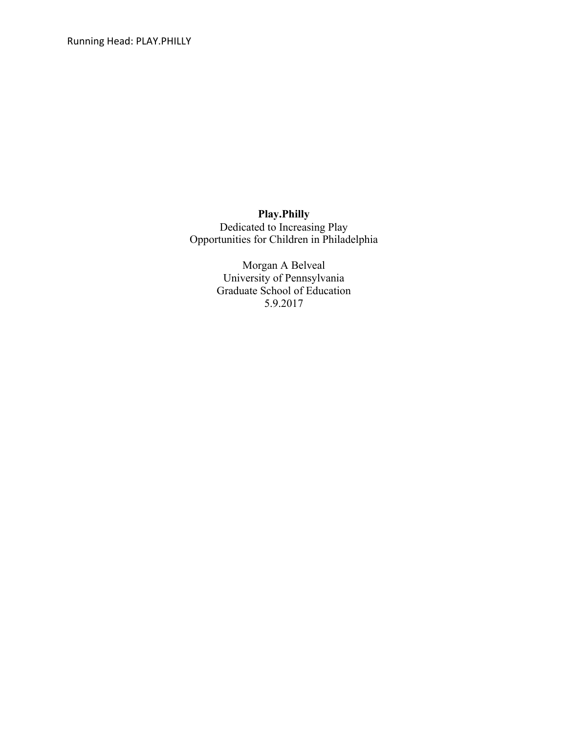Running Head: PLAY.PHILLY

**Play.Philly** Dedicated to Increasing Play Opportunities for Children in Philadelphia

> Morgan A Belveal University of Pennsylvania Graduate School of Education 5.9.2017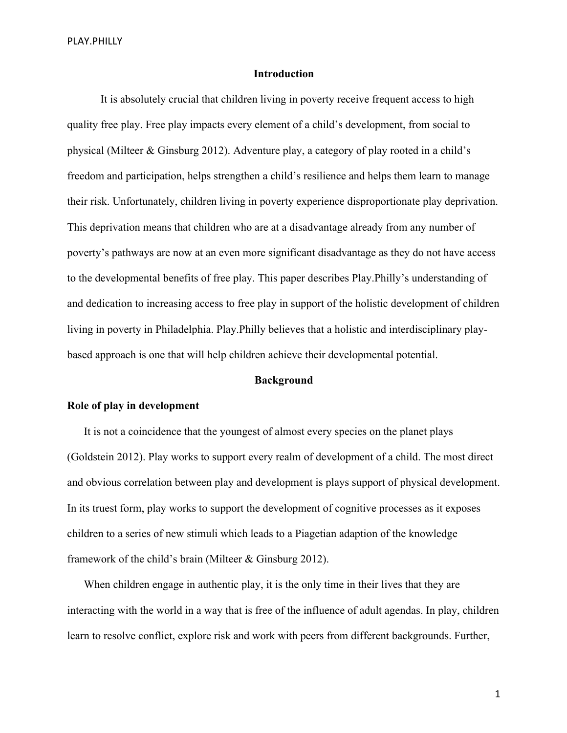# **Introduction**

It is absolutely crucial that children living in poverty receive frequent access to high quality free play. Free play impacts every element of a child's development, from social to physical (Milteer & Ginsburg 2012). Adventure play, a category of play rooted in a child's freedom and participation, helps strengthen a child's resilience and helps them learn to manage their risk. Unfortunately, children living in poverty experience disproportionate play deprivation. This deprivation means that children who are at a disadvantage already from any number of poverty's pathways are now at an even more significant disadvantage as they do not have access to the developmental benefits of free play. This paper describes Play.Philly's understanding of and dedication to increasing access to free play in support of the holistic development of children living in poverty in Philadelphia. Play.Philly believes that a holistic and interdisciplinary playbased approach is one that will help children achieve their developmental potential.

#### **Background**

#### **Role of play in development**

It is not a coincidence that the youngest of almost every species on the planet plays (Goldstein 2012). Play works to support every realm of development of a child. The most direct and obvious correlation between play and development is plays support of physical development. In its truest form, play works to support the development of cognitive processes as it exposes children to a series of new stimuli which leads to a Piagetian adaption of the knowledge framework of the child's brain (Milteer & Ginsburg 2012).

When children engage in authentic play, it is the only time in their lives that they are interacting with the world in a way that is free of the influence of adult agendas. In play, children learn to resolve conflict, explore risk and work with peers from different backgrounds. Further,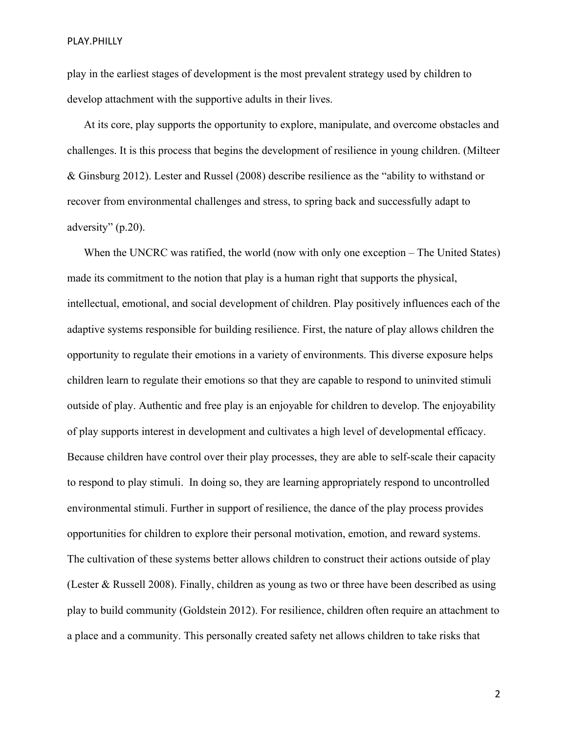play in the earliest stages of development is the most prevalent strategy used by children to develop attachment with the supportive adults in their lives.

At its core, play supports the opportunity to explore, manipulate, and overcome obstacles and challenges. It is this process that begins the development of resilience in young children. (Milteer & Ginsburg 2012). Lester and Russel (2008) describe resilience as the "ability to withstand or recover from environmental challenges and stress, to spring back and successfully adapt to adversity" (p.20).

When the UNCRC was ratified, the world (now with only one exception – The United States) made its commitment to the notion that play is a human right that supports the physical, intellectual, emotional, and social development of children. Play positively influences each of the adaptive systems responsible for building resilience. First, the nature of play allows children the opportunity to regulate their emotions in a variety of environments. This diverse exposure helps children learn to regulate their emotions so that they are capable to respond to uninvited stimuli outside of play. Authentic and free play is an enjoyable for children to develop. The enjoyability of play supports interest in development and cultivates a high level of developmental efficacy. Because children have control over their play processes, they are able to self-scale their capacity to respond to play stimuli. In doing so, they are learning appropriately respond to uncontrolled environmental stimuli. Further in support of resilience, the dance of the play process provides opportunities for children to explore their personal motivation, emotion, and reward systems. The cultivation of these systems better allows children to construct their actions outside of play (Lester & Russell 2008). Finally, children as young as two or three have been described as using play to build community (Goldstein 2012). For resilience, children often require an attachment to a place and a community. This personally created safety net allows children to take risks that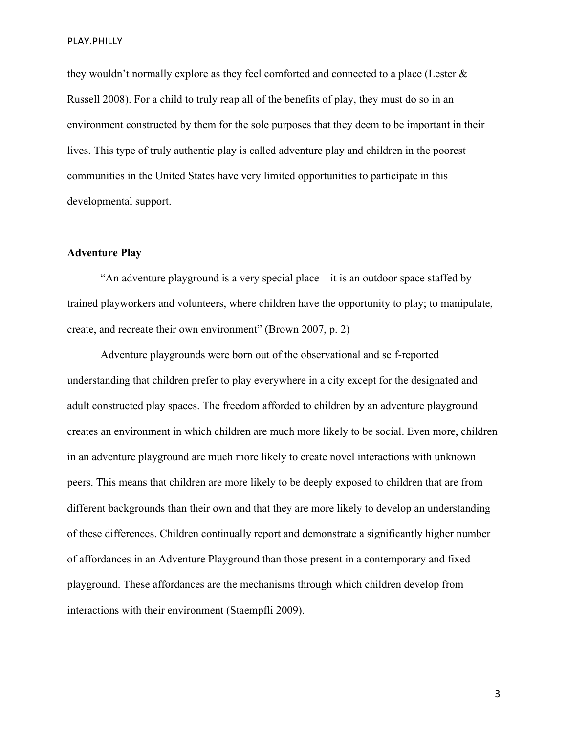they wouldn't normally explore as they feel comforted and connected to a place (Lester & Russell 2008). For a child to truly reap all of the benefits of play, they must do so in an environment constructed by them for the sole purposes that they deem to be important in their lives. This type of truly authentic play is called adventure play and children in the poorest communities in the United States have very limited opportunities to participate in this developmental support.

### **Adventure Play**

"An adventure playground is a very special place – it is an outdoor space staffed by trained playworkers and volunteers, where children have the opportunity to play; to manipulate, create, and recreate their own environment" (Brown 2007, p. 2)

Adventure playgrounds were born out of the observational and self-reported understanding that children prefer to play everywhere in a city except for the designated and adult constructed play spaces. The freedom afforded to children by an adventure playground creates an environment in which children are much more likely to be social. Even more, children in an adventure playground are much more likely to create novel interactions with unknown peers. This means that children are more likely to be deeply exposed to children that are from different backgrounds than their own and that they are more likely to develop an understanding of these differences. Children continually report and demonstrate a significantly higher number of affordances in an Adventure Playground than those present in a contemporary and fixed playground. These affordances are the mechanisms through which children develop from interactions with their environment (Staempfli 2009).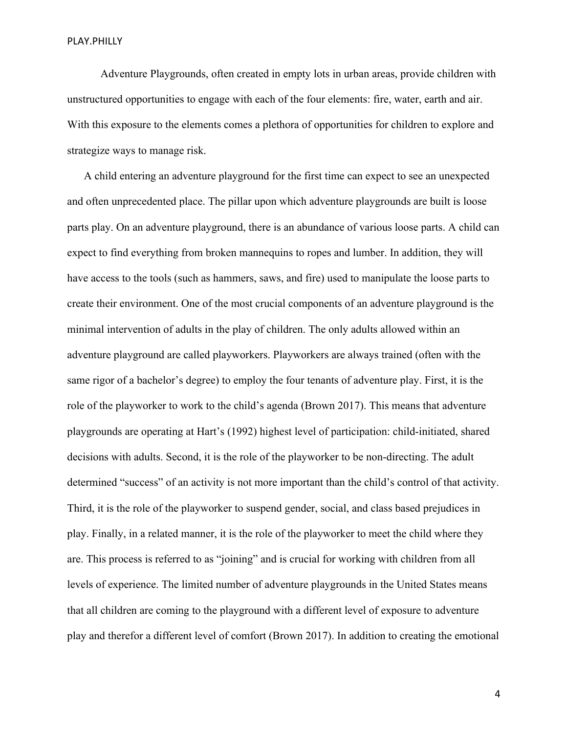Adventure Playgrounds, often created in empty lots in urban areas, provide children with unstructured opportunities to engage with each of the four elements: fire, water, earth and air. With this exposure to the elements comes a plethora of opportunities for children to explore and strategize ways to manage risk.

A child entering an adventure playground for the first time can expect to see an unexpected and often unprecedented place. The pillar upon which adventure playgrounds are built is loose parts play. On an adventure playground, there is an abundance of various loose parts. A child can expect to find everything from broken mannequins to ropes and lumber. In addition, they will have access to the tools (such as hammers, saws, and fire) used to manipulate the loose parts to create their environment. One of the most crucial components of an adventure playground is the minimal intervention of adults in the play of children. The only adults allowed within an adventure playground are called playworkers. Playworkers are always trained (often with the same rigor of a bachelor's degree) to employ the four tenants of adventure play. First, it is the role of the playworker to work to the child's agenda (Brown 2017). This means that adventure playgrounds are operating at Hart's (1992) highest level of participation: child-initiated, shared decisions with adults. Second, it is the role of the playworker to be non-directing. The adult determined "success" of an activity is not more important than the child's control of that activity. Third, it is the role of the playworker to suspend gender, social, and class based prejudices in play. Finally, in a related manner, it is the role of the playworker to meet the child where they are. This process is referred to as "joining" and is crucial for working with children from all levels of experience. The limited number of adventure playgrounds in the United States means that all children are coming to the playground with a different level of exposure to adventure play and therefor a different level of comfort (Brown 2017). In addition to creating the emotional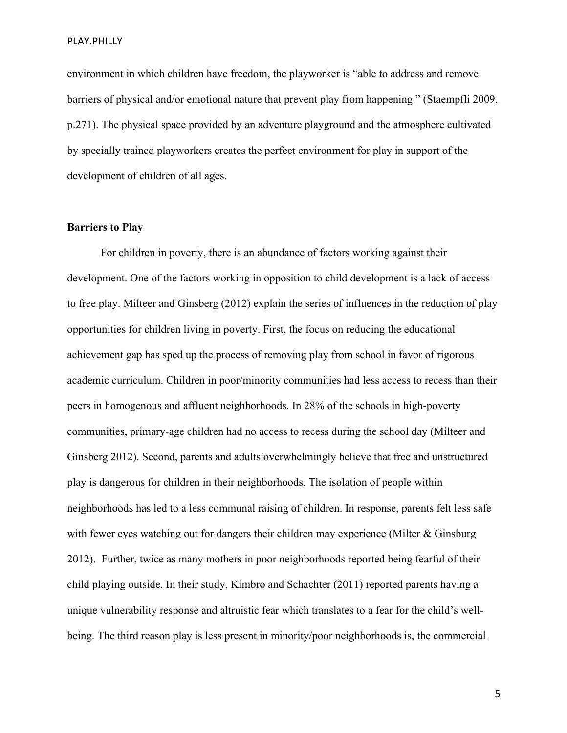environment in which children have freedom, the playworker is "able to address and remove barriers of physical and/or emotional nature that prevent play from happening." (Staempfli 2009, p.271). The physical space provided by an adventure playground and the atmosphere cultivated by specially trained playworkers creates the perfect environment for play in support of the development of children of all ages.

#### **Barriers to Play**

For children in poverty, there is an abundance of factors working against their development. One of the factors working in opposition to child development is a lack of access to free play. Milteer and Ginsberg (2012) explain the series of influences in the reduction of play opportunities for children living in poverty. First, the focus on reducing the educational achievement gap has sped up the process of removing play from school in favor of rigorous academic curriculum. Children in poor/minority communities had less access to recess than their peers in homogenous and affluent neighborhoods. In 28% of the schools in high-poverty communities, primary-age children had no access to recess during the school day (Milteer and Ginsberg 2012). Second, parents and adults overwhelmingly believe that free and unstructured play is dangerous for children in their neighborhoods. The isolation of people within neighborhoods has led to a less communal raising of children. In response, parents felt less safe with fewer eyes watching out for dangers their children may experience (Milter & Ginsburg 2012). Further, twice as many mothers in poor neighborhoods reported being fearful of their child playing outside. In their study, Kimbro and Schachter (2011) reported parents having a unique vulnerability response and altruistic fear which translates to a fear for the child's wellbeing. The third reason play is less present in minority/poor neighborhoods is, the commercial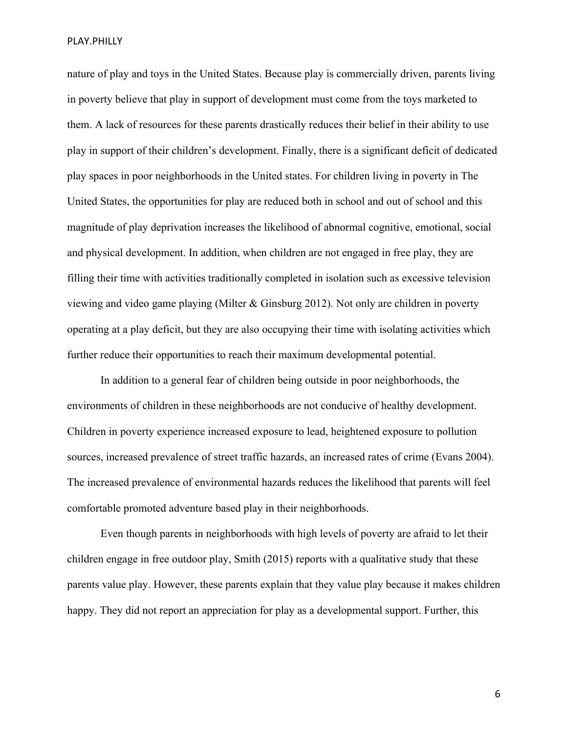nature of play and toys in the United States. Because play is commercially driven, parents living in poverty believe that play in support of development must come from the toys marketed to them. A lack of resources for these parents drastically reduces their belief in their ability to use play in support of their children's development. Finally, there is a significant deficit of dedicated play spaces in poor neighborhoods in the United states. For children living in poverty in The United States, the opportunities for play are reduced both in school and out of school and this magnitude of play deprivation increases the likelihood of abnormal cognitive, emotional, social and physical development. In addition, when children are not engaged in free play, they are filling their time with activities traditionally completed in isolation such as excessive television viewing and video game playing (Milter & Ginsburg 2012). Not only are children in poverty operating at a play deficit, but they are also occupying their time with isolating activities which further reduce their opportunities to reach their maximum developmental potential.

In addition to a general fear of children being outside in poor neighborhoods, the environments of children in these neighborhoods are not conducive of healthy development. Children in poverty experience increased exposure to lead, heightened exposure to pollution sources, increased prevalence of street traffic hazards, an increased rates of crime (Evans 2004). The increased prevalence of environmental hazards reduces the likelihood that parents will feel comfortable promoted adventure based play in their neighborhoods.

Even though parents in neighborhoods with high levels of poverty are afraid to let their children engage in free outdoor play, Smith (2015) reports with a qualitative study that these parents value play. However, these parents explain that they value play because it makes children happy. They did not report an appreciation for play as a developmental support. Further, this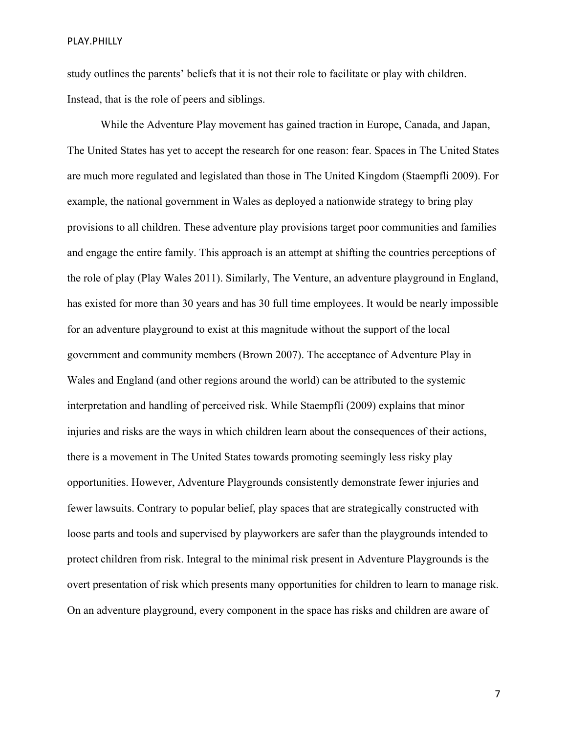study outlines the parents' beliefs that it is not their role to facilitate or play with children. Instead, that is the role of peers and siblings.

While the Adventure Play movement has gained traction in Europe, Canada, and Japan, The United States has yet to accept the research for one reason: fear. Spaces in The United States are much more regulated and legislated than those in The United Kingdom (Staempfli 2009). For example, the national government in Wales as deployed a nationwide strategy to bring play provisions to all children. These adventure play provisions target poor communities and families and engage the entire family. This approach is an attempt at shifting the countries perceptions of the role of play (Play Wales 2011). Similarly, The Venture, an adventure playground in England, has existed for more than 30 years and has 30 full time employees. It would be nearly impossible for an adventure playground to exist at this magnitude without the support of the local government and community members (Brown 2007). The acceptance of Adventure Play in Wales and England (and other regions around the world) can be attributed to the systemic interpretation and handling of perceived risk. While Staempfli (2009) explains that minor injuries and risks are the ways in which children learn about the consequences of their actions, there is a movement in The United States towards promoting seemingly less risky play opportunities. However, Adventure Playgrounds consistently demonstrate fewer injuries and fewer lawsuits. Contrary to popular belief, play spaces that are strategically constructed with loose parts and tools and supervised by playworkers are safer than the playgrounds intended to protect children from risk. Integral to the minimal risk present in Adventure Playgrounds is the overt presentation of risk which presents many opportunities for children to learn to manage risk. On an adventure playground, every component in the space has risks and children are aware of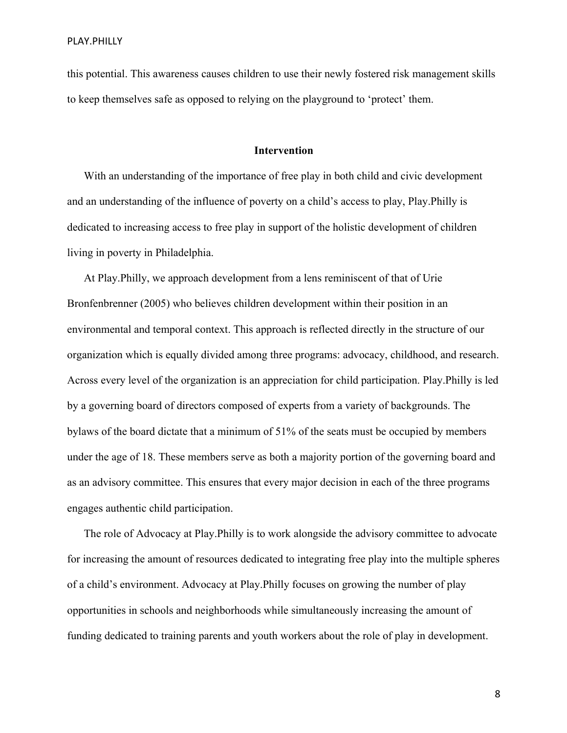this potential. This awareness causes children to use their newly fostered risk management skills to keep themselves safe as opposed to relying on the playground to 'protect' them.

# **Intervention**

With an understanding of the importance of free play in both child and civic development and an understanding of the influence of poverty on a child's access to play, Play.Philly is dedicated to increasing access to free play in support of the holistic development of children living in poverty in Philadelphia.

At Play.Philly, we approach development from a lens reminiscent of that of Urie Bronfenbrenner (2005) who believes children development within their position in an environmental and temporal context. This approach is reflected directly in the structure of our organization which is equally divided among three programs: advocacy, childhood, and research. Across every level of the organization is an appreciation for child participation. Play.Philly is led by a governing board of directors composed of experts from a variety of backgrounds. The bylaws of the board dictate that a minimum of 51% of the seats must be occupied by members under the age of 18. These members serve as both a majority portion of the governing board and as an advisory committee. This ensures that every major decision in each of the three programs engages authentic child participation.

The role of Advocacy at Play.Philly is to work alongside the advisory committee to advocate for increasing the amount of resources dedicated to integrating free play into the multiple spheres of a child's environment. Advocacy at Play.Philly focuses on growing the number of play opportunities in schools and neighborhoods while simultaneously increasing the amount of funding dedicated to training parents and youth workers about the role of play in development.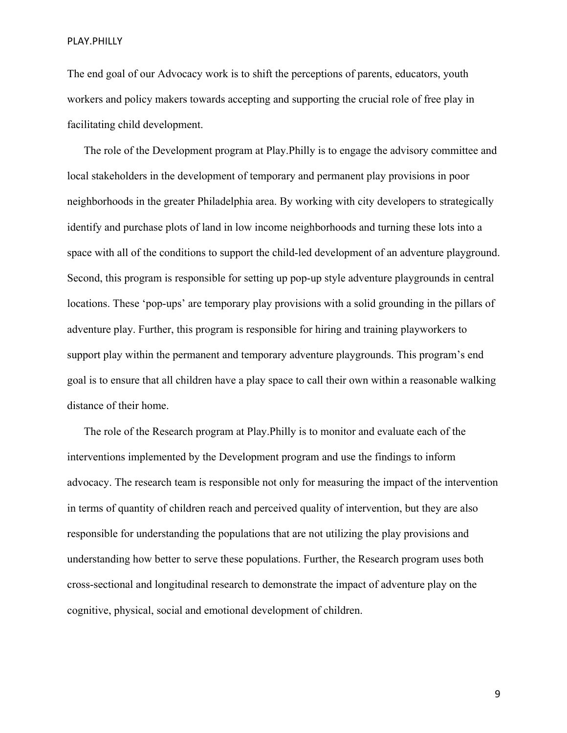The end goal of our Advocacy work is to shift the perceptions of parents, educators, youth workers and policy makers towards accepting and supporting the crucial role of free play in facilitating child development.

The role of the Development program at Play.Philly is to engage the advisory committee and local stakeholders in the development of temporary and permanent play provisions in poor neighborhoods in the greater Philadelphia area. By working with city developers to strategically identify and purchase plots of land in low income neighborhoods and turning these lots into a space with all of the conditions to support the child-led development of an adventure playground. Second, this program is responsible for setting up pop-up style adventure playgrounds in central locations. These 'pop-ups' are temporary play provisions with a solid grounding in the pillars of adventure play. Further, this program is responsible for hiring and training playworkers to support play within the permanent and temporary adventure playgrounds. This program's end goal is to ensure that all children have a play space to call their own within a reasonable walking distance of their home.

The role of the Research program at Play.Philly is to monitor and evaluate each of the interventions implemented by the Development program and use the findings to inform advocacy. The research team is responsible not only for measuring the impact of the intervention in terms of quantity of children reach and perceived quality of intervention, but they are also responsible for understanding the populations that are not utilizing the play provisions and understanding how better to serve these populations. Further, the Research program uses both cross-sectional and longitudinal research to demonstrate the impact of adventure play on the cognitive, physical, social and emotional development of children.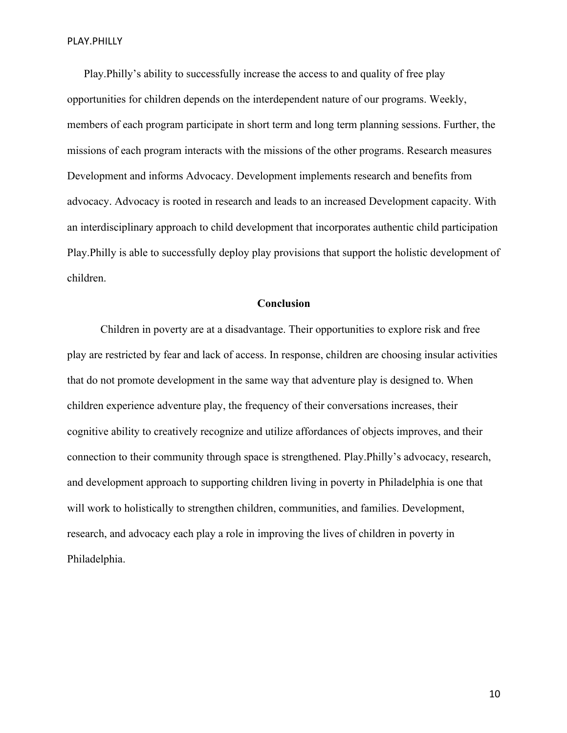Play.Philly's ability to successfully increase the access to and quality of free play opportunities for children depends on the interdependent nature of our programs. Weekly, members of each program participate in short term and long term planning sessions. Further, the missions of each program interacts with the missions of the other programs. Research measures Development and informs Advocacy. Development implements research and benefits from advocacy. Advocacy is rooted in research and leads to an increased Development capacity. With an interdisciplinary approach to child development that incorporates authentic child participation Play.Philly is able to successfully deploy play provisions that support the holistic development of children.

# **Conclusion**

Children in poverty are at a disadvantage. Their opportunities to explore risk and free play are restricted by fear and lack of access. In response, children are choosing insular activities that do not promote development in the same way that adventure play is designed to. When children experience adventure play, the frequency of their conversations increases, their cognitive ability to creatively recognize and utilize affordances of objects improves, and their connection to their community through space is strengthened. Play.Philly's advocacy, research, and development approach to supporting children living in poverty in Philadelphia is one that will work to holistically to strengthen children, communities, and families. Development, research, and advocacy each play a role in improving the lives of children in poverty in Philadelphia.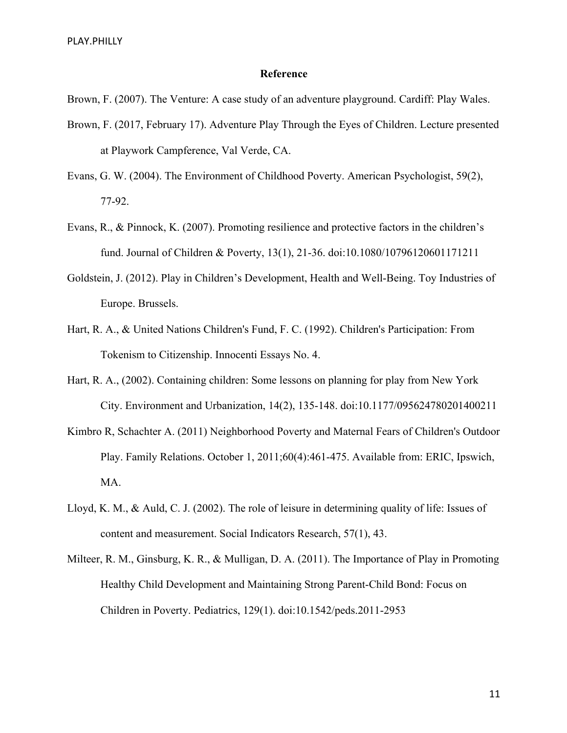#### **Reference**

Brown, F. (2007). The Venture: A case study of an adventure playground. Cardiff: Play Wales.

- Brown, F. (2017, February 17). Adventure Play Through the Eyes of Children. Lecture presented at Playwork Campference, Val Verde, CA.
- Evans, G. W. (2004). The Environment of Childhood Poverty. American Psychologist, 59(2), 77-92.
- Evans, R., & Pinnock, K. (2007). Promoting resilience and protective factors in the children's fund. Journal of Children & Poverty, 13(1), 21-36. doi:10.1080/10796120601171211
- Goldstein, J. (2012). Play in Children's Development, Health and Well-Being. Toy Industries of Europe. Brussels.
- Hart, R. A., & United Nations Children's Fund, F. C. (1992). Children's Participation: From Tokenism to Citizenship. Innocenti Essays No. 4.
- Hart, R. A., (2002). Containing children: Some lessons on planning for play from New York City. Environment and Urbanization, 14(2), 135-148. doi:10.1177/095624780201400211
- Kimbro R, Schachter A. (2011) Neighborhood Poverty and Maternal Fears of Children's Outdoor Play. Family Relations. October 1, 2011;60(4):461-475. Available from: ERIC, Ipswich, MA.
- Lloyd, K. M., & Auld, C. J. (2002). The role of leisure in determining quality of life: Issues of content and measurement. Social Indicators Research, 57(1), 43.
- Milteer, R. M., Ginsburg, K. R., & Mulligan, D. A. (2011). The Importance of Play in Promoting Healthy Child Development and Maintaining Strong Parent-Child Bond: Focus on Children in Poverty. Pediatrics, 129(1). doi:10.1542/peds.2011-2953